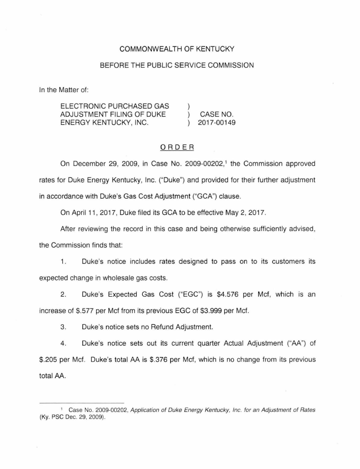## COMMONWEALTH OF KENTUCKY

## BEFORE THE PUBLIC SERVICE COMMISSION

In the Matter of:

ELECTRONIC PURCHASED GAS ADJUSTMENT FILING OF DUKE  $\mathcal{L}$ CASE NO. ENERGY KENTUCKY, INC. 2017-00149

### ORDER

On December 29, 2009, in Case No. 2009-00202,<sup>1</sup> the Commission approved rates for Duke Energy Kentucky, Inc. ("Duke") and provided for their further adjustment in accordance with Duke's Gas Cost Adjustment ("GCA") clause.

On April 11 , 2017, Duke filed its GCA to be effective May 2, 2017.

After reviewing the record in this case and being otherwise sufficiently advised, the Commission finds that:

1. Duke's notice includes rates designed to pass on to its customers its expected change in wholesale gas costs.

2. Duke's Expected Gas Cost ("EGG") is \$4.576 per Mcf, which is an increase of \$.577 per Mcf from its previous EGC of \$3.999 per Mcf.

3. Duke's notice sets no Refund Adjustment.

4. Duke's notice sets out its current quarter Actual Adjustment ("AA") of \$.205 per Mcf. Duke's total AA is \$.376 per Met, which is no change from its previous total AA.

<sup>&</sup>lt;sup>1</sup> Case No. 2009-00202, Application of Duke Energy Kentucky, Inc. for an Adjustment of Rates (Ky. PSC Dec. 29. 2009).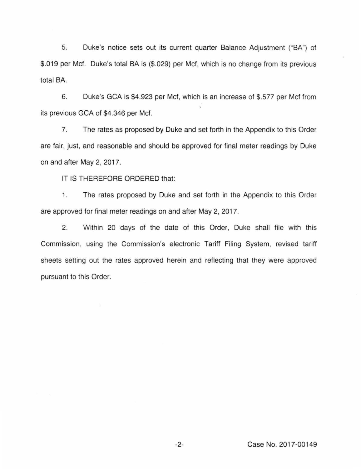5. Duke's notice sets out its current quarter Balance Adjustment ("BA") of \$.019 per Mcf. Duke's total BA is (\$.029) per Mcf, which is no change from its previous total BA.

6. Duke's GCA is \$4.923 per Met, which is an increase of \$.577 per Met from its previous GCA of \$4.346 per Mcf.

7. The rates as proposed by Duke and set forth in the Appendix to this Order are fair, just, and reasonable and should be approved for final meter readings by Duke on and after May 2, 2017.

IT IS THEREFORE ORDERED that:

1. The rates proposed by Duke and set forth in the Appendix to this Order are approved for final meter readings on and after May 2, 2017.

2. Within 20 days of the date of this Order, Duke shall file with this Commission, using the Commission's electronic Tariff Filing System, revised tariff sheets setting out the rates approved herein and reflecting that they were approved pursuant to this Order.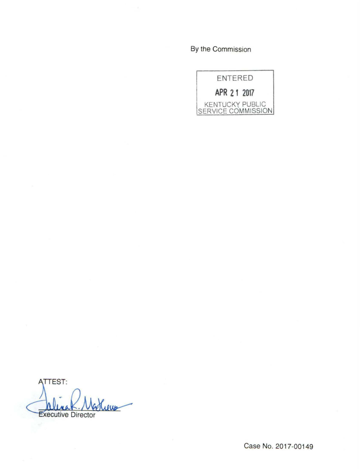By the Commission



**ATTEST:** Leus Executive Director

Case No. 2017-00149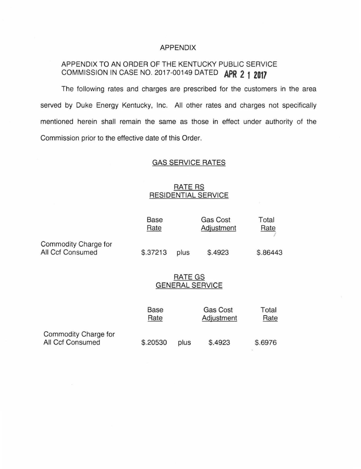#### APPENDIX

# APPENDIX TO AN ORDER OF THE KENTUCKY PUBLIC SERVICE COMMISSION IN CASE NO. 2017-00149 DATED **APR 2 1 Z017**

The following rates and charges are prescribed for the customers in the area served by Duke Energy Kentucky, Inc. All other rates and charges not specifically mentioned herein shall remain the same as those in effect under authority of the Commission prior to the effective date of this Order.

# GAS SERVICE RATES

# **RATE RS** RESIDENTIAL SERVICE

|                                          | <b>Base</b><br>Rate                      |      | <b>Gas Cost</b><br>Adjustment | Total<br>Rate |
|------------------------------------------|------------------------------------------|------|-------------------------------|---------------|
| Commodity Charge for<br>All Ccf Consumed | \$.37213                                 | plus | \$.4923                       | \$.86443      |
|                                          | <b>RATE GS</b><br><b>GENERAL SERVICE</b> |      |                               |               |
|                                          | <b>Base</b><br>Rate                      |      | <b>Gas Cost</b><br>Adjustment | Total<br>Rate |
| Commodity Charge for<br>All Ccf Consumed | \$.20530                                 | plus | \$.4923                       | \$.6976       |